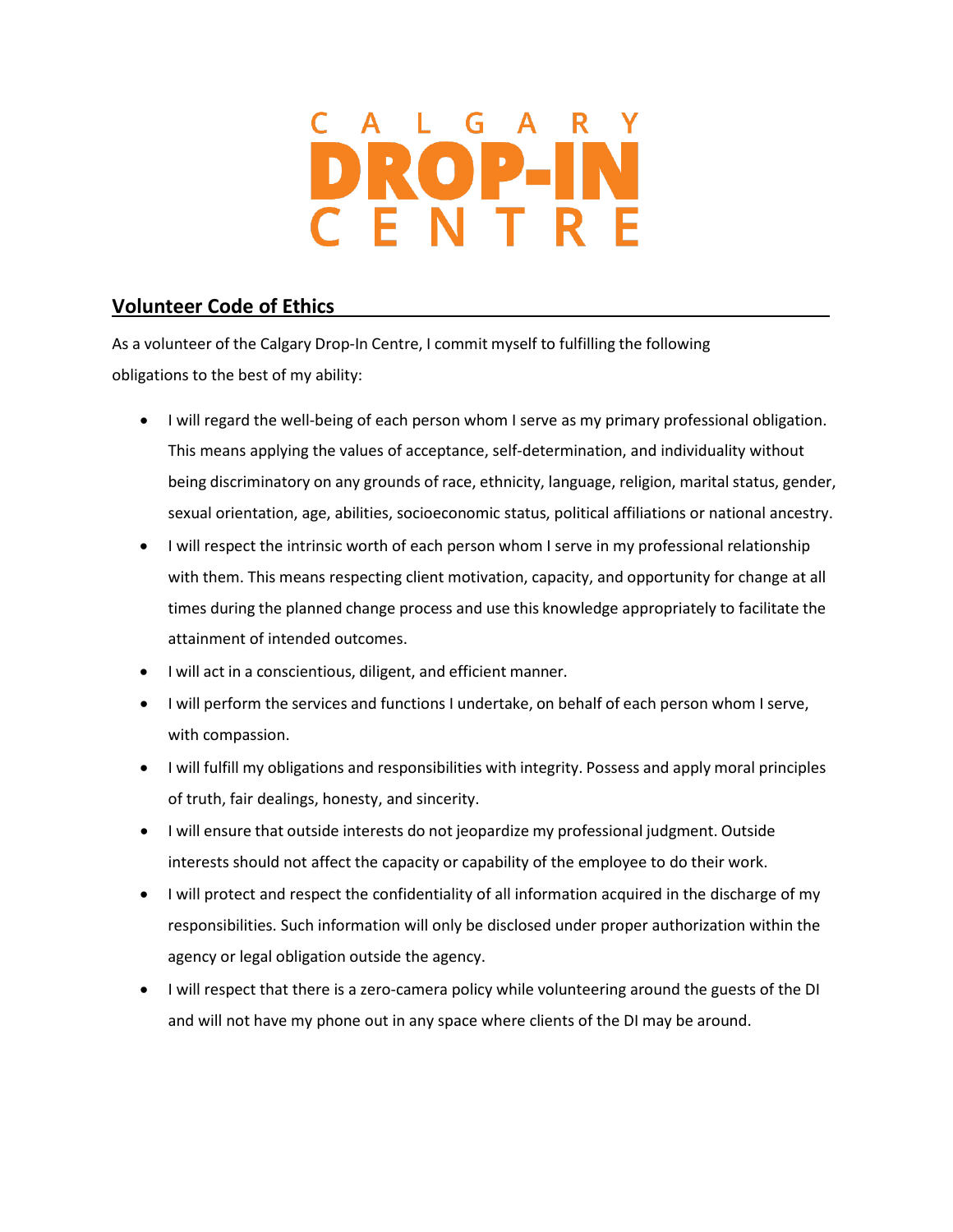## $OPL$

## **Volunteer Code of Ethics**

As a volunteer of the Calgary Drop-In Centre, I commit myself to fulfilling the following obligations to the best of my ability:

- I will regard the well-being of each person whom I serve as my primary professional obligation. This means applying the values of acceptance, self-determination, and individuality without being discriminatory on any grounds of race, ethnicity, language, religion, marital status, gender, sexual orientation, age, abilities, socioeconomic status, political affiliations or national ancestry.
- I will respect the intrinsic worth of each person whom I serve in my professional relationship with them. This means respecting client motivation, capacity, and opportunity for change at all times during the planned change process and use this knowledge appropriately to facilitate the attainment of intended outcomes.
- I will act in a conscientious, diligent, and efficient manner.
- I will perform the services and functions I undertake, on behalf of each person whom I serve, with compassion.
- I will fulfill my obligations and responsibilities with integrity. Possess and apply moral principles of truth, fair dealings, honesty, and sincerity.
- I will ensure that outside interests do not jeopardize my professional judgment. Outside interests should not affect the capacity or capability of the employee to do their work.
- I will protect and respect the confidentiality of all information acquired in the discharge of my responsibilities. Such information will only be disclosed under proper authorization within the agency or legal obligation outside the agency.
- I will respect that there is a zero-camera policy while volunteering around the guests of the DI and will not have my phone out in any space where clients of the DI may be around.